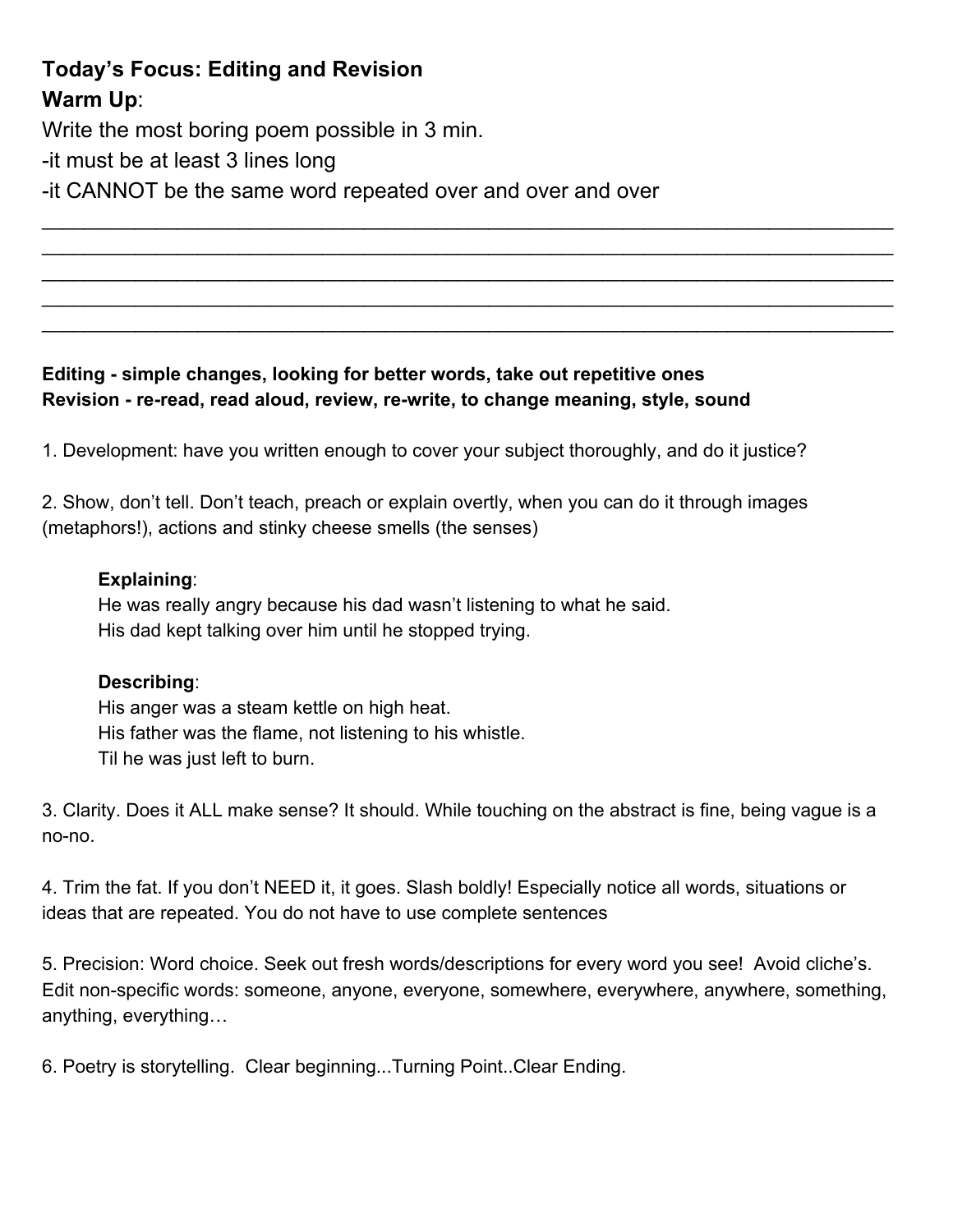# **Today's Focus: Editing and Revision Warm Up**:

Write the most boring poem possible in 3 min.

-it must be at least 3 lines long

it CANNOT be the same word repeated over and over and over

### **Editing simple changes, looking for better words, take out repetitive ones** Revision - re-read, read aloud, review, re-write, to change meaning, style, sound

1. Development: have you written enough to cover your subject thoroughly, and do it justice?

 $\_$  $\_$  $\_$  $\_$  $\_$ 

2. Show, don't tell. Don't teach, preach or explain overtly, when you can do it through images (metaphors!), actions and stinky cheese smells (the senses)

#### **Explaining**:

He was really angry because his dad wasn't listening to what he said. His dad kept talking over him until he stopped trying.

#### **Describing**:

His anger was a steam kettle on high heat. His father was the flame, not listening to his whistle. Til he was just left to burn.

3. Clarity. Does it ALL make sense? It should. While touching on the abstract is fine, being vague is a no-no.

4. Trim the fat. If you don't NEED it, it goes. Slash boldly! Especially notice all words, situations or ideas that are repeated. You do not have to use complete sentences

5. Precision: Word choice. Seek out fresh words/descriptions for every word you see! Avoid cliche's. Edit non-specific words: someone, anyone, everyone, somewhere, everywhere, anywhere, something, anything, everything…

6. Poetry is storytelling. Clear beginning...Turning Point..Clear Ending.